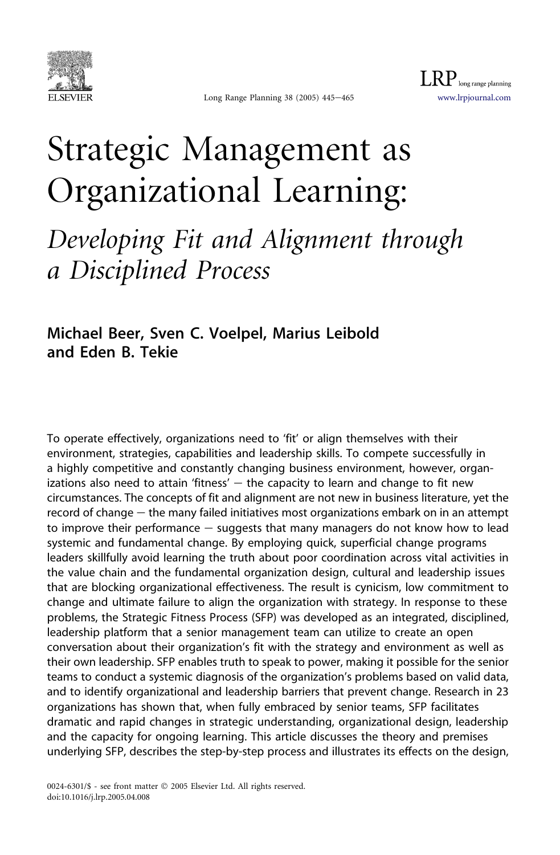

# Strategic Management as Organizational Learning:

## Developing Fit and Alignment through a Disciplined Process

Michael Beer, Sven C. Voelpel, Marius Leibold and Eden B. Tekie

To operate effectively, organizations need to 'fit' or align themselves with their environment, strategies, capabilities and leadership skills. To compete successfully in a highly competitive and constantly changing business environment, however, organizations also need to attain 'fitness'  $-$  the capacity to learn and change to fit new circumstances. The concepts of fit and alignment are not new in business literature, yet the record of change - the many failed initiatives most organizations embark on in an attempt to improve their performance  $-$  suggests that many managers do not know how to lead systemic and fundamental change. By employing quick, superficial change programs leaders skillfully avoid learning the truth about poor coordination across vital activities in the value chain and the fundamental organization design, cultural and leadership issues that are blocking organizational effectiveness. The result is cynicism, low commitment to change and ultimate failure to align the organization with strategy. In response to these problems, the Strategic Fitness Process (SFP) was developed as an integrated, disciplined, leadership platform that a senior management team can utilize to create an open conversation about their organization's fit with the strategy and environment as well as their own leadership. SFP enables truth to speak to power, making it possible for the senior teams to conduct a systemic diagnosis of the organization's problems based on valid data, and to identify organizational and leadership barriers that prevent change. Research in 23 organizations has shown that, when fully embraced by senior teams, SFP facilitates dramatic and rapid changes in strategic understanding, organizational design, leadership and the capacity for ongoing learning. This article discusses the theory and premises underlying SFP, describes the step-by-step process and illustrates its effects on the design,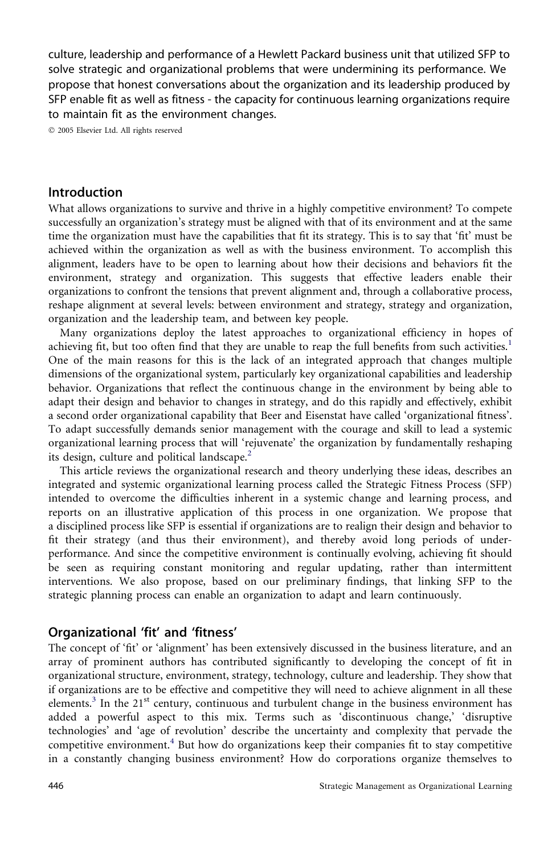culture, leadership and performance of a Hewlett Packard business unit that utilized SFP to solve strategic and organizational problems that were undermining its performance. We propose that honest conversations about the organization and its leadership produced by SFP enable fit as well as fitness - the capacity for continuous learning organizations require to maintain fit as the environment changes.

2005 Elsevier Ltd. All rights reserved

#### Introduction

What allows organizations to survive and thrive in a highly competitive environment? To compete successfully an organization's strategy must be aligned with that of its environment and at the same time the organization must have the capabilities that fit its strategy. This is to say that 'fit' must be achieved within the organization as well as with the business environment. To accomplish this alignment, leaders have to be open to learning about how their decisions and behaviors fit the environment, strategy and organization. This suggests that effective leaders enable their organizations to confront the tensions that prevent alignment and, through a collaborative process, reshape alignment at several levels: between environment and strategy, strategy and organization, organization and the leadership team, and between key people.

Many organizations deploy the latest approaches to organizational efficiency in hopes of achieving fit, but too often find that they are unable to reap the full benefits from such activities.<sup>[1](#page--1-0)</sup> One of the main reasons for this is the lack of an integrated approach that changes multiple dimensions of the organizational system, particularly key organizational capabilities and leadership behavior. Organizations that reflect the continuous change in the environment by being able to adapt their design and behavior to changes in strategy, and do this rapidly and effectively, exhibit a second order organizational capability that Beer and Eisenstat have called 'organizational fitness'. To adapt successfully demands senior management with the courage and skill to lead a systemic organizational learning process that will 'rejuvenate' the organization by fundamentally reshaping its design, culture and political landscape.<sup>2</sup>

This article reviews the organizational research and theory underlying these ideas, describes an integrated and systemic organizational learning process called the Strategic Fitness Process (SFP) intended to overcome the difficulties inherent in a systemic change and learning process, and reports on an illustrative application of this process in one organization. We propose that a disciplined process like SFP is essential if organizations are to realign their design and behavior to fit their strategy (and thus their environment), and thereby avoid long periods of underperformance. And since the competitive environment is continually evolving, achieving fit should be seen as requiring constant monitoring and regular updating, rather than intermittent interventions. We also propose, based on our preliminary findings, that linking SFP to the strategic planning process can enable an organization to adapt and learn continuously.

#### Organizational 'fit' and 'fitness'

The concept of 'fit' or 'alignment' has been extensively discussed in the business literature, and an array of prominent authors has contributed significantly to developing the concept of fit in organizational structure, environment, strategy, technology, culture and leadership. They show that if organizations are to be effective and competitive they will need to achieve alignment in all these elements.<sup>[3](#page--1-0)</sup> In the  $21<sup>st</sup>$  century, continuous and turbulent change in the business environment has added a powerful aspect to this mix. Terms such as 'discontinuous change,' 'disruptive technologies' and 'age of revolution' describe the uncertainty and complexity that pervade the competitive environment.<sup>[4](#page--1-0)</sup> But how do organizations keep their companies fit to stay competitive in a constantly changing business environment? How do corporations organize themselves to